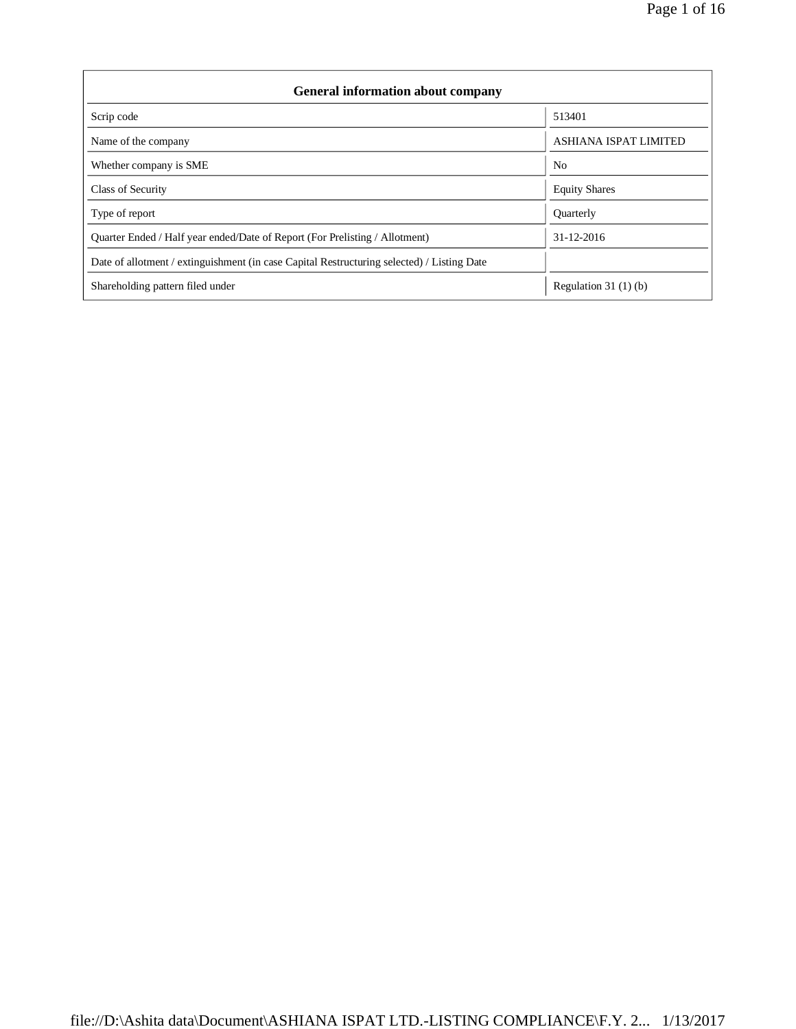| <b>General information about company</b>                                                   |                              |  |  |  |  |  |  |
|--------------------------------------------------------------------------------------------|------------------------------|--|--|--|--|--|--|
| Scrip code                                                                                 | 513401                       |  |  |  |  |  |  |
| Name of the company                                                                        | <b>ASHIANA ISPAT LIMITED</b> |  |  |  |  |  |  |
| Whether company is SME                                                                     | N <sub>0</sub>               |  |  |  |  |  |  |
| <b>Class of Security</b>                                                                   | <b>Equity Shares</b>         |  |  |  |  |  |  |
| Type of report                                                                             | Quarterly                    |  |  |  |  |  |  |
| Quarter Ended / Half year ended/Date of Report (For Prelisting / Allotment)                | 31-12-2016                   |  |  |  |  |  |  |
| Date of allotment / extinguishment (in case Capital Restructuring selected) / Listing Date |                              |  |  |  |  |  |  |
| Shareholding pattern filed under                                                           | Regulation $31(1)(b)$        |  |  |  |  |  |  |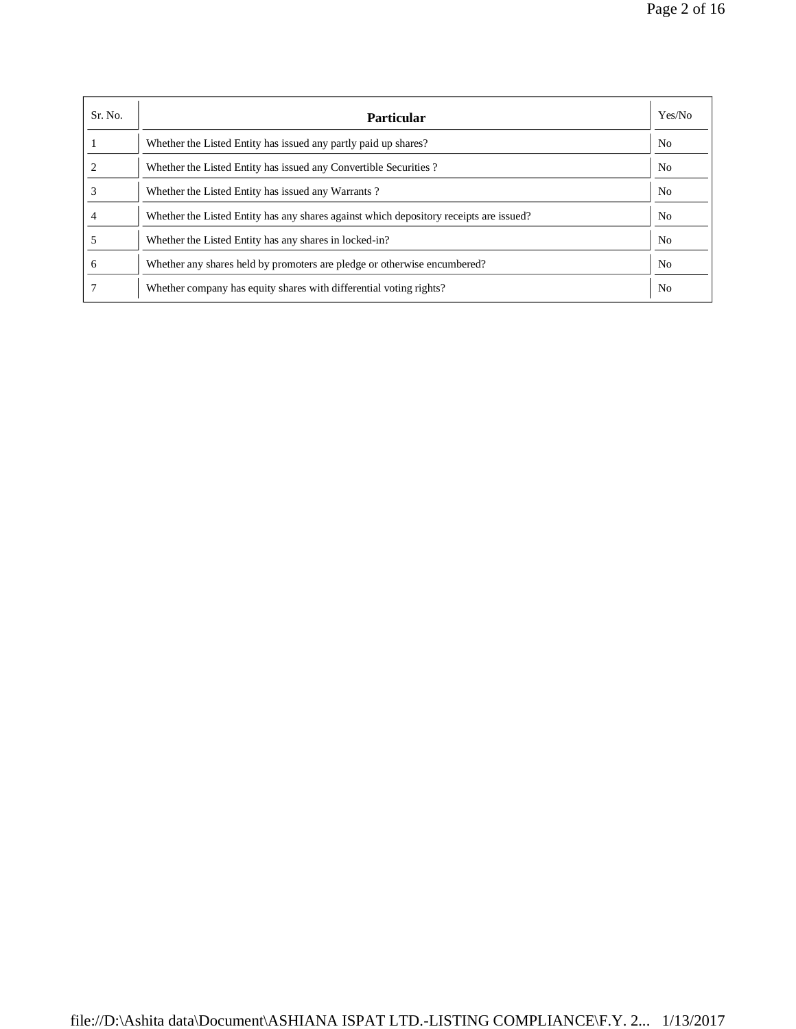| Sr. No. | Particular                                                                             | Yes/No         |
|---------|----------------------------------------------------------------------------------------|----------------|
|         | Whether the Listed Entity has issued any partly paid up shares?                        | N <sub>0</sub> |
|         | Whether the Listed Entity has issued any Convertible Securities?                       | No             |
|         | Whether the Listed Entity has issued any Warrants?                                     | N <sub>0</sub> |
|         | Whether the Listed Entity has any shares against which depository receipts are issued? | No             |
|         | Whether the Listed Entity has any shares in locked-in?                                 | No             |
| 6       | Whether any shares held by promoters are pledge or otherwise encumbered?               | No             |
|         | Whether company has equity shares with differential voting rights?                     | N <sub>0</sub> |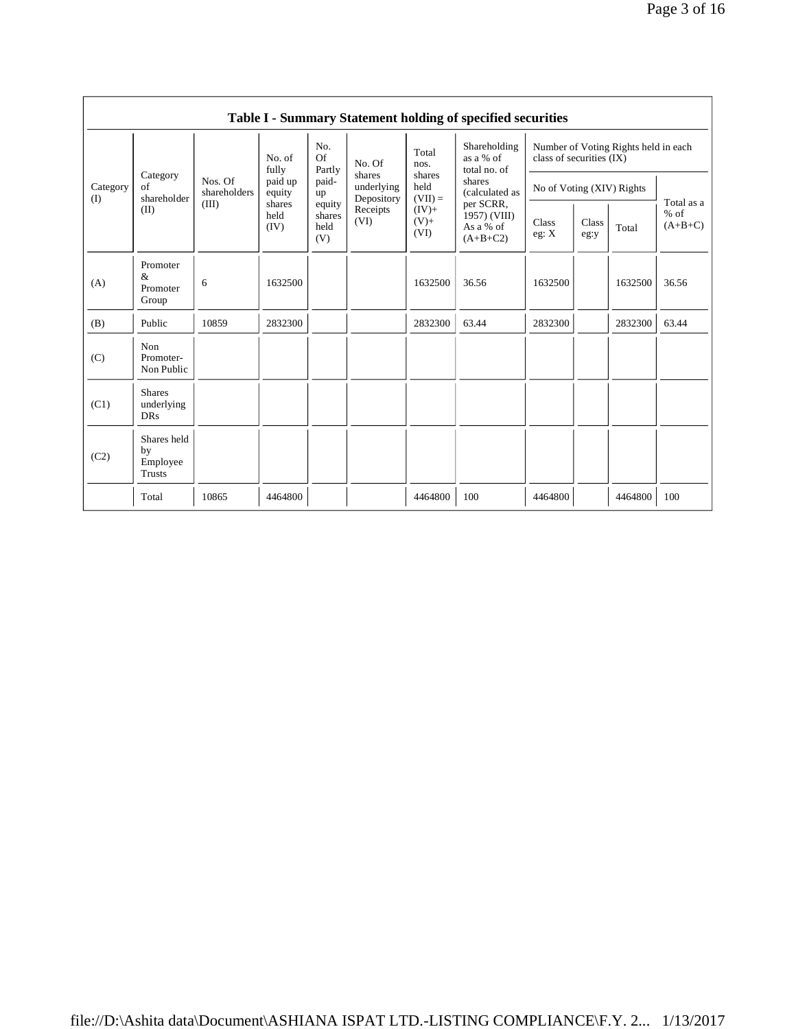| Table I - Summary Statement holding of specified securities |                                                |                         |                        |                                 |                                                                  |                                                                             |                                                                                                                               |                                                                  |               |         |                                   |  |
|-------------------------------------------------------------|------------------------------------------------|-------------------------|------------------------|---------------------------------|------------------------------------------------------------------|-----------------------------------------------------------------------------|-------------------------------------------------------------------------------------------------------------------------------|------------------------------------------------------------------|---------------|---------|-----------------------------------|--|
|                                                             |                                                |                         | No. of<br>fully        | No.<br>Of<br>Partly             | No. Of<br>shares<br>underlying<br>Depository<br>Receipts<br>(VI) | Total<br>nos.<br>shares<br>held<br>$(VII) =$<br>$(IV) +$<br>$(V)$ +<br>(VI) | Shareholding<br>as a % of<br>total no. of<br>shares<br>(calculated as<br>per SCRR,<br>1957) (VIII)<br>As a % of<br>$(A+B+C2)$ | Number of Voting Rights held in each<br>class of securities (IX) |               |         |                                   |  |
| Category<br>(I)                                             | Category<br>of<br>shareholder                  | Nos. Of<br>shareholders | paid up<br>equity      | paid-<br>up                     |                                                                  |                                                                             |                                                                                                                               | No of Voting (XIV) Rights                                        |               |         |                                   |  |
|                                                             | (II)                                           | (III)                   | shares<br>held<br>(IV) | equity<br>shares<br>held<br>(V) |                                                                  |                                                                             |                                                                                                                               | Class<br>eg: X                                                   | Class<br>eg:y | Total   | Total as a<br>$%$ of<br>$(A+B+C)$ |  |
| (A)                                                         | Promoter<br>&<br>Promoter<br>Group             | 6                       | 1632500                |                                 |                                                                  | 1632500                                                                     | 36.56                                                                                                                         | 1632500                                                          |               | 1632500 | 36.56                             |  |
| (B)                                                         | Public                                         | 10859                   | 2832300                |                                 |                                                                  | 2832300                                                                     | 63.44                                                                                                                         | 2832300                                                          |               | 2832300 | 63.44                             |  |
| (C)                                                         | Non<br>Promoter-<br>Non Public                 |                         |                        |                                 |                                                                  |                                                                             |                                                                                                                               |                                                                  |               |         |                                   |  |
| (C1)                                                        | <b>Shares</b><br>underlying<br><b>DRs</b>      |                         |                        |                                 |                                                                  |                                                                             |                                                                                                                               |                                                                  |               |         |                                   |  |
| (C2)                                                        | Shares held<br>by<br>Employee<br><b>Trusts</b> |                         |                        |                                 |                                                                  |                                                                             |                                                                                                                               |                                                                  |               |         |                                   |  |
|                                                             | Total                                          | 10865                   | 4464800                |                                 |                                                                  | 4464800                                                                     | 100                                                                                                                           | 4464800                                                          |               | 4464800 | 100                               |  |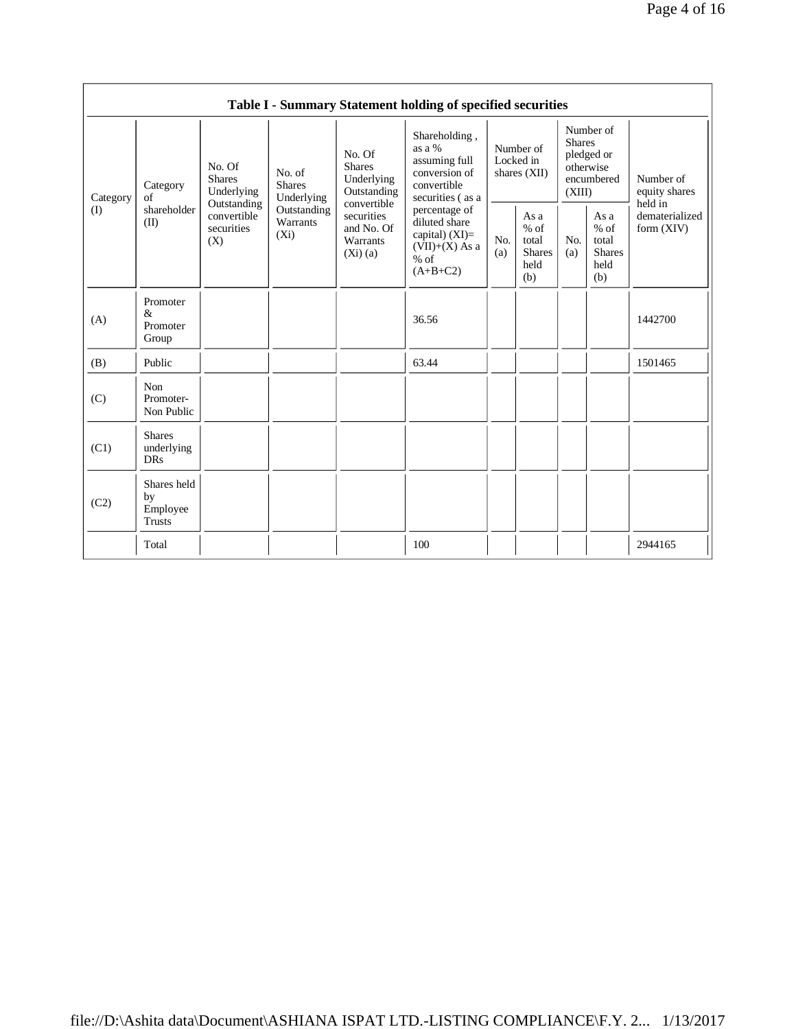|                 |                                                |                                                 |                                                                             |                                                                                                                           | Table I - Summary Statement holding of specified securities                                    |                                        |                                                         |                                                                               |                                                         |                                       |
|-----------------|------------------------------------------------|-------------------------------------------------|-----------------------------------------------------------------------------|---------------------------------------------------------------------------------------------------------------------------|------------------------------------------------------------------------------------------------|----------------------------------------|---------------------------------------------------------|-------------------------------------------------------------------------------|---------------------------------------------------------|---------------------------------------|
| Category<br>(I) | Category<br>of<br>shareholder<br>(II)          | No. Of<br><b>Shares</b><br>Underlying           | No. of<br><b>Shares</b><br>Underlying<br>Outstanding<br>Warrants<br>$(X_i)$ | No. Of<br><b>Shares</b><br>Underlying<br>Outstanding<br>convertible<br>securities<br>and No. Of<br>Warrants<br>$(Xi)$ (a) | Shareholding,<br>as a %<br>assuming full<br>conversion of<br>convertible<br>securities (as a   | Number of<br>Locked in<br>shares (XII) |                                                         | Number of<br><b>Shares</b><br>pledged or<br>otherwise<br>encumbered<br>(XIII) |                                                         | Number of<br>equity shares<br>held in |
|                 |                                                | Outstanding<br>convertible<br>securities<br>(X) |                                                                             |                                                                                                                           | percentage of<br>diluted share<br>capital) $(XI)=$<br>$(VII)+(X)$ As a<br>$%$ of<br>$(A+B+C2)$ | No.<br>(a)                             | As a<br>$%$ of<br>total<br><b>Shares</b><br>held<br>(b) | No.<br>(a)                                                                    | As a<br>$%$ of<br>total<br><b>Shares</b><br>held<br>(b) | dematerialized<br>form (XIV)          |
| (A)             | Promoter<br>&<br>Promoter<br>Group             |                                                 |                                                                             |                                                                                                                           | 36.56                                                                                          |                                        |                                                         |                                                                               |                                                         | 1442700                               |
| (B)             | Public                                         |                                                 |                                                                             |                                                                                                                           | 63.44                                                                                          |                                        |                                                         |                                                                               |                                                         | 1501465                               |
| (C)             | Non<br>Promoter-<br>Non Public                 |                                                 |                                                                             |                                                                                                                           |                                                                                                |                                        |                                                         |                                                                               |                                                         |                                       |
| (C1)            | <b>Shares</b><br>underlying<br><b>DRs</b>      |                                                 |                                                                             |                                                                                                                           |                                                                                                |                                        |                                                         |                                                                               |                                                         |                                       |
| (C2)            | Shares held<br>by<br>Employee<br><b>Trusts</b> |                                                 |                                                                             |                                                                                                                           |                                                                                                |                                        |                                                         |                                                                               |                                                         |                                       |
|                 | Total                                          |                                                 |                                                                             |                                                                                                                           | 100                                                                                            |                                        |                                                         |                                                                               |                                                         | 2944165                               |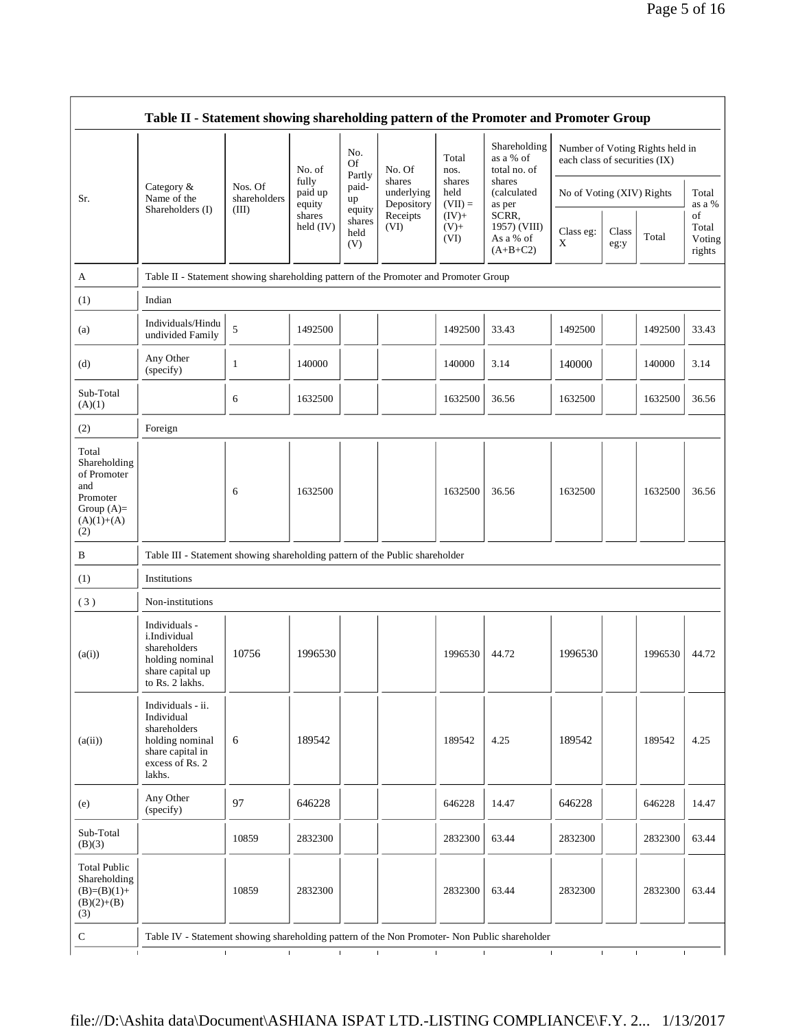|                                                                                         |                                                                                      |                                                                                                                                                                                                                     |                                         |                                           |                                                                  |                             |                                 |                       |                           | Page 5 of 16 |       |                 |  |
|-----------------------------------------------------------------------------------------|--------------------------------------------------------------------------------------|---------------------------------------------------------------------------------------------------------------------------------------------------------------------------------------------------------------------|-----------------------------------------|-------------------------------------------|------------------------------------------------------------------|-----------------------------|---------------------------------|-----------------------|---------------------------|--------------|-------|-----------------|--|
|                                                                                         | Table II - Statement showing shareholding pattern of the Promoter and Promoter Group |                                                                                                                                                                                                                     |                                         |                                           |                                                                  |                             |                                 |                       |                           |              |       |                 |  |
|                                                                                         | No.<br>Of<br>No. of<br>Partly<br>fully                                               | No. Of                                                                                                                                                                                                              | Total<br>nos.                           | Shareholding<br>as a % of<br>total no. of | Number of Voting Rights held in<br>each class of securities (IX) |                             |                                 |                       |                           |              |       |                 |  |
| Sr.                                                                                     | Category &<br>Name of the                                                            | Nos. Of<br>shareholders                                                                                                                                                                                             | paid up<br>equity                       | paid-<br>up                               | shares<br>underlying<br>Depository                               | held<br>$(VII) =$<br>as per | shares                          | shares<br>(calculated | No of Voting (XIV) Rights |              |       | Total<br>as a % |  |
|                                                                                         | Shareholders (I)                                                                     | (III)<br>equity<br>SCRR,<br>shares<br>Receipts<br>$(IV) +$<br>shares<br>(VI)<br>held (IV)<br>$(V)$ +<br>held<br>(VI)<br>(V)<br>Table II - Statement showing shareholding pattern of the Promoter and Promoter Group | 1957) (VIII)<br>As a % of<br>$(A+B+C2)$ | Class eg:<br>X                            | Class<br>eg:y                                                    | Total                       | of<br>Total<br>Voting<br>rights |                       |                           |              |       |                 |  |
| A                                                                                       |                                                                                      |                                                                                                                                                                                                                     |                                         |                                           |                                                                  |                             |                                 |                       |                           |              |       |                 |  |
| (1)                                                                                     | Indian                                                                               |                                                                                                                                                                                                                     |                                         |                                           |                                                                  |                             |                                 |                       |                           |              |       |                 |  |
| (a)                                                                                     | Individuals/Hindu<br>undivided Family                                                | 5                                                                                                                                                                                                                   | 1492500                                 |                                           |                                                                  | 1492500                     | 33.43                           | 1492500               |                           | 1492500      | 33.43 |                 |  |
| (d)                                                                                     | Any Other<br>(specify)                                                               | 1                                                                                                                                                                                                                   | 140000                                  |                                           |                                                                  | 140000                      | 3.14                            | 140000                |                           | 140000       | 3.14  |                 |  |
| Sub-Total<br>(A)(1)                                                                     |                                                                                      | 6                                                                                                                                                                                                                   | 1632500                                 |                                           |                                                                  | 1632500                     | 36.56                           | 1632500               |                           | 1632500      | 36.56 |                 |  |
| (2)                                                                                     | Foreign                                                                              |                                                                                                                                                                                                                     |                                         |                                           |                                                                  |                             |                                 |                       |                           |              |       |                 |  |
| Total<br>Shareholding<br>of Promoter<br>and<br>Promoter<br>Group $(A)=$<br>$(A)(1)+(A)$ |                                                                                      | 6                                                                                                                                                                                                                   | 1632500                                 |                                           |                                                                  | 1632500                     | 36.56                           | 1632500               |                           | 1632500      | 36.56 |                 |  |

| wuu rouu<br>(A)(1)                                                                             |                                                                                                                     | 6            | 1632500      |              |              | 1632500      | 36.56        | 1632500                      |              | 1632500      | 36.56 |
|------------------------------------------------------------------------------------------------|---------------------------------------------------------------------------------------------------------------------|--------------|--------------|--------------|--------------|--------------|--------------|------------------------------|--------------|--------------|-------|
| (2)                                                                                            | Foreign                                                                                                             |              |              |              |              |              |              |                              |              |              |       |
| Total<br>Shareholding<br>of Promoter<br>and<br>Promoter<br>Group $(A)=$<br>$(A)(1)+(A)$<br>(2) |                                                                                                                     | 6            | 1632500      |              |              | 1632500      | 36.56        | 1632500                      |              | 1632500      | 36.56 |
| B                                                                                              | Table III - Statement showing shareholding pattern of the Public shareholder                                        |              |              |              |              |              |              |                              |              |              |       |
| (1)                                                                                            | Institutions                                                                                                        |              |              |              |              |              |              |                              |              |              |       |
| (3)                                                                                            | Non-institutions                                                                                                    |              |              |              |              |              |              |                              |              |              |       |
| (a(i))                                                                                         | Individuals -<br>i.Individual<br>shareholders<br>holding nominal<br>share capital up<br>to Rs. 2 lakhs.             | 10756        | 1996530      |              |              | 1996530      | 44.72        | 1996530                      |              | 1996530      | 44.72 |
| (a(ii))                                                                                        | Individuals - ii.<br>Individual<br>shareholders<br>holding nominal<br>share capital in<br>excess of Rs. 2<br>lakhs. | 6            | 189542       |              |              | 189542       | 4.25         | 189542                       |              | 189542       | 4.25  |
| (e)                                                                                            | Any Other<br>(specify)                                                                                              | 97           | 646228       |              |              | 646228       | 14.47        | 646228                       |              | 646228       | 14.47 |
| Sub-Total<br>(B)(3)                                                                            |                                                                                                                     | 10859        | 2832300      |              |              | 2832300      | 63.44        | 2832300                      |              | 2832300      | 63.44 |
| <b>Total Public</b><br>Shareholding<br>$(B)=(B)(1)+$<br>$(B)(2)+(B)$<br>(3)                    |                                                                                                                     | 10859        | 2832300      |              |              | 2832300      | 63.44        | 2832300                      |              | 2832300      | 63.44 |
| ${\bf C}$                                                                                      | Table IV - Statement showing shareholding pattern of the Non Promoter- Non Public shareholder                       |              |              |              |              |              |              |                              |              |              |       |
| $\mathbf{I}$                                                                                   |                                                                                                                     | $\mathbf{I}$ | $\mathbf{I}$ | $\mathbf{L}$ | $\mathbf{I}$ | $\mathbf{L}$ | $\mathbf{I}$ | $\mathbf{I}$<br>$\mathbf{I}$ | $\mathbf{I}$ | $\mathbf{I}$ |       |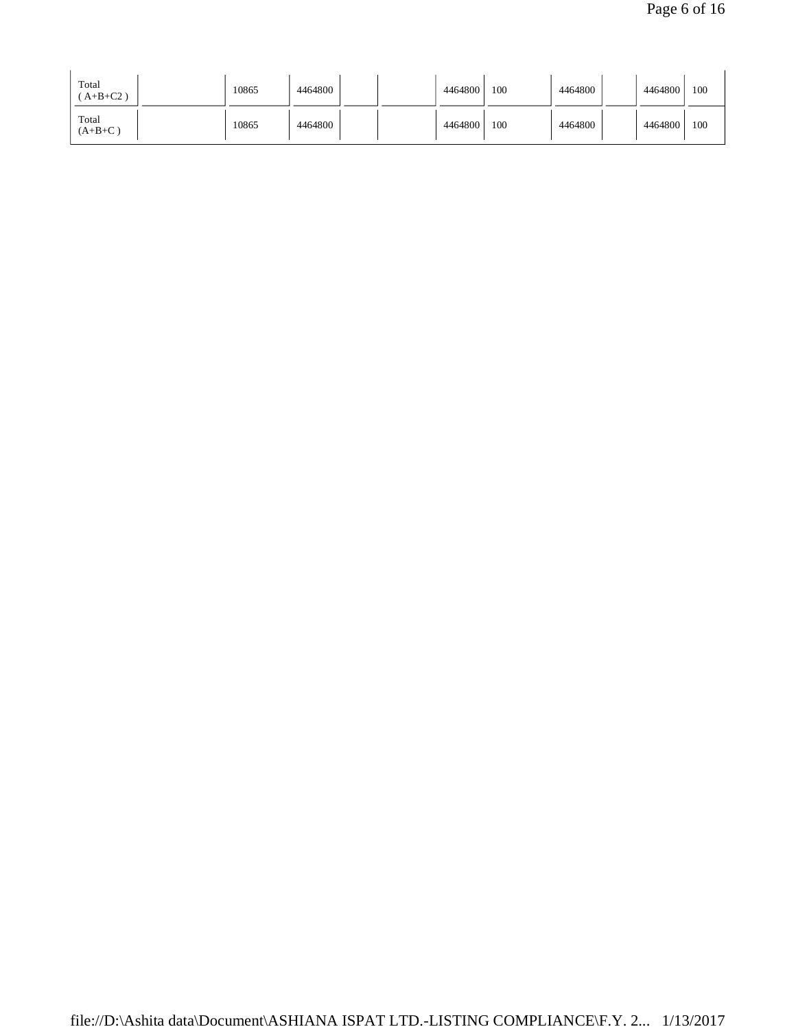| Total<br>$A+B+C2$ ) | 10865 | 4464800 | 4464800 | 100 | 4464800 | 4464800 | 100 |
|---------------------|-------|---------|---------|-----|---------|---------|-----|
| Total<br>$(A+B+C)$  | 10865 | 4464800 | 4464800 | 100 | 4464800 | 4464800 | 100 |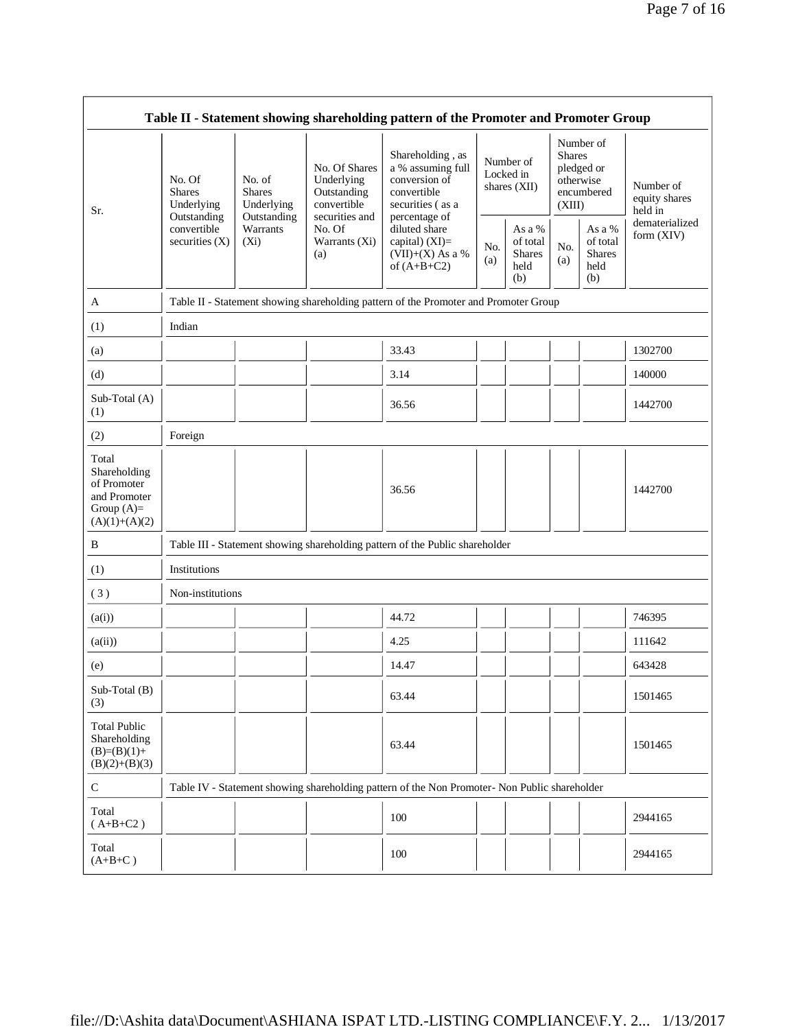| Table II - Statement showing shareholding pattern of the Promoter and Promoter Group     |                                                      |                                                      |                                                           |                                                                                               |            |                                                    |                                                                               |                                                    |                                       |
|------------------------------------------------------------------------------------------|------------------------------------------------------|------------------------------------------------------|-----------------------------------------------------------|-----------------------------------------------------------------------------------------------|------------|----------------------------------------------------|-------------------------------------------------------------------------------|----------------------------------------------------|---------------------------------------|
| Sr.                                                                                      | No. Of<br><b>Shares</b><br>Underlying<br>Outstanding | No. of<br><b>Shares</b><br>Underlying<br>Outstanding | No. Of Shares<br>Underlying<br>Outstanding<br>convertible | Shareholding, as<br>a % assuming full<br>conversion of<br>convertible<br>securities (as a     |            | Number of<br>Locked in<br>shares $(XII)$           | Number of<br><b>Shares</b><br>pledged or<br>otherwise<br>encumbered<br>(XIII) |                                                    | Number of<br>equity shares<br>held in |
|                                                                                          | convertible<br>securities $(X)$                      | Warrants<br>$(X_i)$                                  | securities and<br>No. Of<br>Warrants (Xi)<br>(a)          | percentage of<br>diluted share<br>capital) $(XI)=$<br>$(VII)+(X)$ As a %<br>of $(A+B+C2)$     | No.<br>(a) | As a %<br>of total<br><b>Shares</b><br>held<br>(b) | No.<br>(a)                                                                    | As a %<br>of total<br><b>Shares</b><br>held<br>(b) | dematerialized<br>form (XIV)          |
| A                                                                                        |                                                      |                                                      |                                                           | Table II - Statement showing shareholding pattern of the Promoter and Promoter Group          |            |                                                    |                                                                               |                                                    |                                       |
| (1)                                                                                      | Indian                                               |                                                      |                                                           |                                                                                               |            |                                                    |                                                                               |                                                    |                                       |
| (a)                                                                                      |                                                      |                                                      |                                                           | 33.43                                                                                         |            |                                                    |                                                                               |                                                    | 1302700                               |
| (d)                                                                                      |                                                      |                                                      |                                                           | 3.14                                                                                          |            |                                                    |                                                                               |                                                    | 140000                                |
| Sub-Total (A)<br>(1)                                                                     |                                                      |                                                      |                                                           | 36.56                                                                                         |            |                                                    |                                                                               |                                                    | 1442700                               |
| (2)                                                                                      | Foreign                                              |                                                      |                                                           |                                                                                               |            |                                                    |                                                                               |                                                    |                                       |
| Total<br>Shareholding<br>of Promoter<br>and Promoter<br>Group $(A)$ =<br>$(A)(1)+(A)(2)$ |                                                      |                                                      |                                                           | 36.56                                                                                         |            |                                                    |                                                                               |                                                    | 1442700                               |
| B                                                                                        |                                                      |                                                      |                                                           | Table III - Statement showing shareholding pattern of the Public shareholder                  |            |                                                    |                                                                               |                                                    |                                       |
| (1)                                                                                      | Institutions                                         |                                                      |                                                           |                                                                                               |            |                                                    |                                                                               |                                                    |                                       |
| (3)                                                                                      | Non-institutions                                     |                                                      |                                                           |                                                                                               |            |                                                    |                                                                               |                                                    |                                       |
| (a(i))                                                                                   |                                                      |                                                      |                                                           | 44.72                                                                                         |            |                                                    |                                                                               |                                                    | 746395                                |
| (a(ii))                                                                                  |                                                      |                                                      |                                                           | 4.25                                                                                          |            |                                                    |                                                                               |                                                    | 111642                                |
| (e)                                                                                      |                                                      |                                                      |                                                           | 14.47                                                                                         |            |                                                    |                                                                               |                                                    | 643428                                |
| Sub-Total (B)<br>(3)                                                                     |                                                      |                                                      |                                                           | 63.44                                                                                         |            |                                                    |                                                                               |                                                    | 1501465                               |
| <b>Total Public</b><br>Shareholding<br>$(B)=(B)(1)+$<br>$(B)(2)+(B)(3)$                  |                                                      |                                                      |                                                           | 63.44                                                                                         |            |                                                    |                                                                               |                                                    | 1501465                               |
| ${\bf C}$                                                                                |                                                      |                                                      |                                                           | Table IV - Statement showing shareholding pattern of the Non Promoter- Non Public shareholder |            |                                                    |                                                                               |                                                    |                                       |
| Total<br>$(A+B+C2)$                                                                      |                                                      |                                                      |                                                           | 100                                                                                           |            |                                                    |                                                                               |                                                    | 2944165                               |
| Total<br>$(A+B+C)$                                                                       |                                                      |                                                      |                                                           | 100                                                                                           |            |                                                    |                                                                               |                                                    | 2944165                               |

 $\mathsf{r}$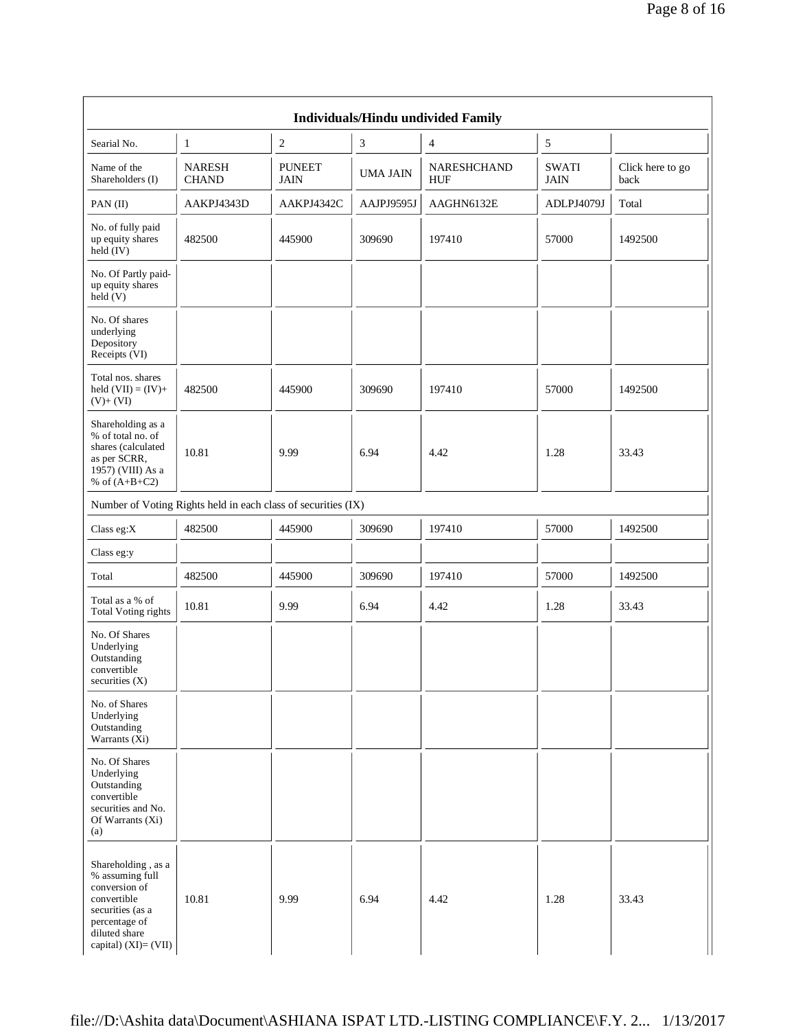|                                                                                                                                                     |                               |                              |                 | Individuals/Hindu undivided Family |                             |                          |  |  |
|-----------------------------------------------------------------------------------------------------------------------------------------------------|-------------------------------|------------------------------|-----------------|------------------------------------|-----------------------------|--------------------------|--|--|
| Searial No.                                                                                                                                         | 1                             | $\sqrt{2}$                   | 3               | $\overline{\mathcal{L}}$           | 5                           |                          |  |  |
| Name of the<br>Shareholders (I)                                                                                                                     | <b>NARESH</b><br><b>CHAND</b> | <b>PUNEET</b><br><b>JAIN</b> | <b>UMA JAIN</b> | NARESHCHAND<br><b>HUF</b>          | <b>SWATI</b><br><b>JAIN</b> | Click here to go<br>back |  |  |
| PAN(II)                                                                                                                                             | AAKPJ4343D                    | AAKPJ4342C                   | AAJPJ9595J      | AAGHN6132E                         | ADLPJ4079J                  | Total                    |  |  |
| No. of fully paid<br>up equity shares<br>held $(IV)$                                                                                                | 482500                        | 445900                       | 309690          | 197410                             | 57000                       | 1492500                  |  |  |
| No. Of Partly paid-<br>up equity shares<br>$\text{held}(V)$                                                                                         |                               |                              |                 |                                    |                             |                          |  |  |
| No. Of shares<br>underlying<br>Depository<br>Receipts (VI)                                                                                          |                               |                              |                 |                                    |                             |                          |  |  |
| Total nos. shares<br>held $(VII) = (IV) +$<br>$(V)+(VI)$                                                                                            | 482500                        | 445900                       | 309690          | 197410                             | 57000                       | 1492500                  |  |  |
| Shareholding as a<br>% of total no. of<br>shares (calculated<br>as per SCRR,<br>1957) (VIII) As a<br>% of $(A+B+C2)$                                | 10.81                         | 9.99                         | 6.94            | 4.42                               | 1.28                        | 33.43                    |  |  |
| Number of Voting Rights held in each class of securities (IX)                                                                                       |                               |                              |                 |                                    |                             |                          |  |  |
| Class eg:X                                                                                                                                          | 482500                        | 445900                       | 309690          | 197410                             | 57000                       | 1492500                  |  |  |
| Class eg:y                                                                                                                                          |                               |                              |                 |                                    |                             |                          |  |  |
| Total                                                                                                                                               | 482500                        | 445900                       | 309690          | 197410                             | 57000                       | 1492500                  |  |  |
| Total as a % of<br><b>Total Voting rights</b>                                                                                                       | 10.81                         | 9.99                         | 6.94            | 4.42                               | 1.28                        | 33.43                    |  |  |
| No. Of Shares<br>Underlying<br>Outstanding<br>convertible<br>securities (X)                                                                         |                               |                              |                 |                                    |                             |                          |  |  |
| No. of Shares<br>Underlying<br>Outstanding<br>Warrants (Xi)                                                                                         |                               |                              |                 |                                    |                             |                          |  |  |
| No. Of Shares<br>Underlying<br>Outstanding<br>convertible<br>securities and No.<br>Of Warrants (Xi)<br>(a)                                          |                               |                              |                 |                                    |                             |                          |  |  |
| Shareholding, as a<br>% assuming full<br>conversion of<br>convertible<br>securities (as a<br>percentage of<br>diluted share<br>capital) (XI)= (VII) | 10.81                         | 9.99                         | 6.94            | 4.42                               | 1.28                        | 33.43                    |  |  |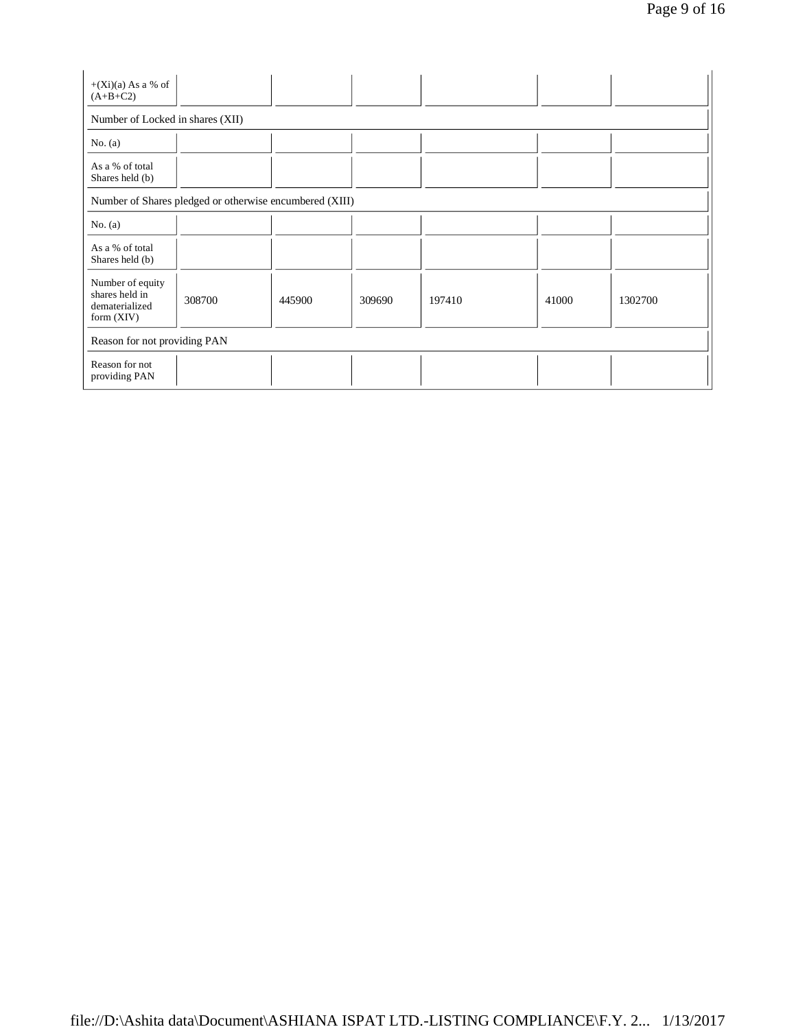| $+(Xi)(a)$ As a % of<br>$(A+B+C2)$                                   |                                                         |        |        |        |       |         |  |  |  |
|----------------------------------------------------------------------|---------------------------------------------------------|--------|--------|--------|-------|---------|--|--|--|
| Number of Locked in shares (XII)                                     |                                                         |        |        |        |       |         |  |  |  |
| No. $(a)$                                                            |                                                         |        |        |        |       |         |  |  |  |
| As a % of total<br>Shares held (b)                                   |                                                         |        |        |        |       |         |  |  |  |
|                                                                      | Number of Shares pledged or otherwise encumbered (XIII) |        |        |        |       |         |  |  |  |
| No. (a)                                                              |                                                         |        |        |        |       |         |  |  |  |
| As a % of total<br>Shares held (b)                                   |                                                         |        |        |        |       |         |  |  |  |
| Number of equity<br>shares held in<br>dematerialized<br>form $(XIV)$ | 308700                                                  | 445900 | 309690 | 197410 | 41000 | 1302700 |  |  |  |
| Reason for not providing PAN                                         |                                                         |        |        |        |       |         |  |  |  |
| Reason for not<br>providing PAN                                      |                                                         |        |        |        |       |         |  |  |  |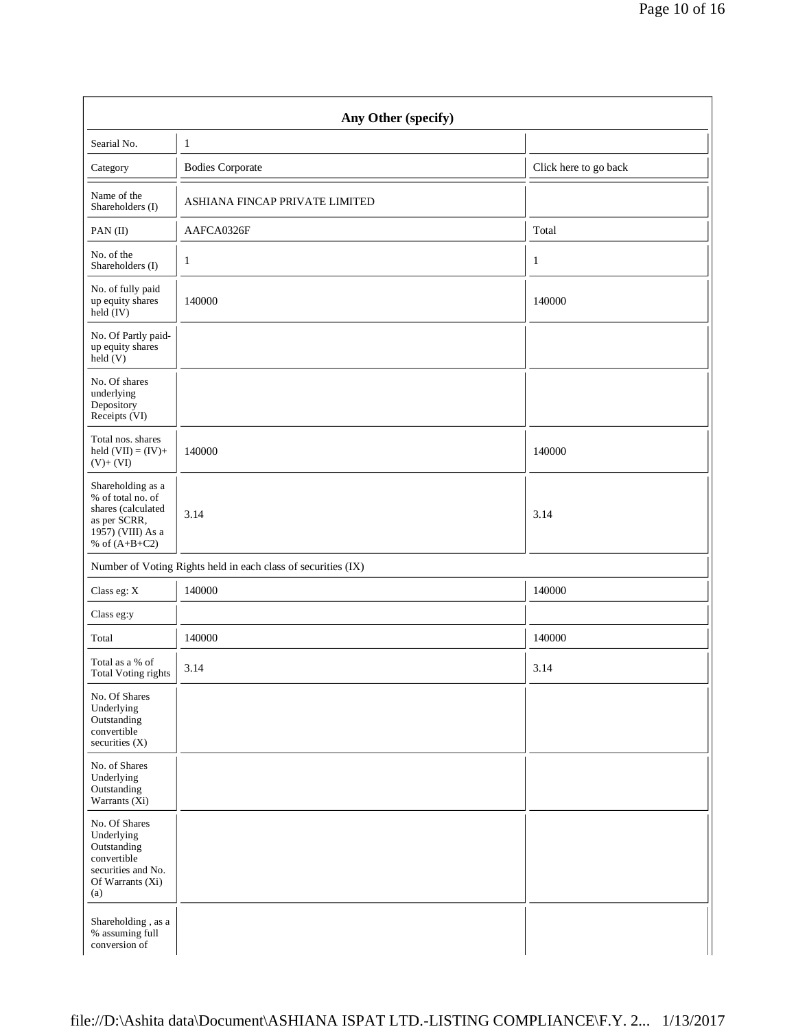|                                                                                                                      | Any Other (specify)                                           |                       |
|----------------------------------------------------------------------------------------------------------------------|---------------------------------------------------------------|-----------------------|
| Searial No.                                                                                                          | $\mathbf{1}$                                                  |                       |
| Category                                                                                                             | <b>Bodies Corporate</b>                                       | Click here to go back |
| Name of the<br>Shareholders (I)                                                                                      | ASHIANA FINCAP PRIVATE LIMITED                                |                       |
| PAN $(II)$                                                                                                           | AAFCA0326F                                                    | Total                 |
| No. of the<br>Shareholders (I)                                                                                       | $\mathbf{1}$                                                  | $\mathbf{1}$          |
| No. of fully paid<br>up equity shares<br>held (IV)                                                                   | 140000                                                        | 140000                |
| No. Of Partly paid-<br>up equity shares<br>held(V)                                                                   |                                                               |                       |
| No. Of shares<br>underlying<br>Depository<br>Receipts (VI)                                                           |                                                               |                       |
| Total nos. shares<br>held $(VII) = (IV) +$<br>$(V)+(VI)$                                                             | 140000                                                        | 140000                |
| Shareholding as a<br>% of total no. of<br>shares (calculated<br>as per SCRR,<br>1957) (VIII) As a<br>% of $(A+B+C2)$ | 3.14                                                          | 3.14                  |
|                                                                                                                      | Number of Voting Rights held in each class of securities (IX) |                       |
| Class eg: X                                                                                                          | 140000                                                        | 140000                |
| Class eg:y                                                                                                           |                                                               |                       |
| Total                                                                                                                | 140000                                                        | 140000                |
| Total as a % of<br>Total Voting rights                                                                               | 3.14                                                          | 3.14                  |
| No. Of Shares<br>Underlying<br>Outstanding<br>convertible<br>securities (X)                                          |                                                               |                       |
| No. of Shares<br>Underlying<br>Outstanding<br>Warrants (Xi)                                                          |                                                               |                       |
| No. Of Shares<br>Underlying<br>Outstanding<br>convertible<br>securities and No.<br>Of Warrants (Xi)<br>(a)           |                                                               |                       |
| Shareholding, as a<br>% assuming full<br>conversion of                                                               |                                                               |                       |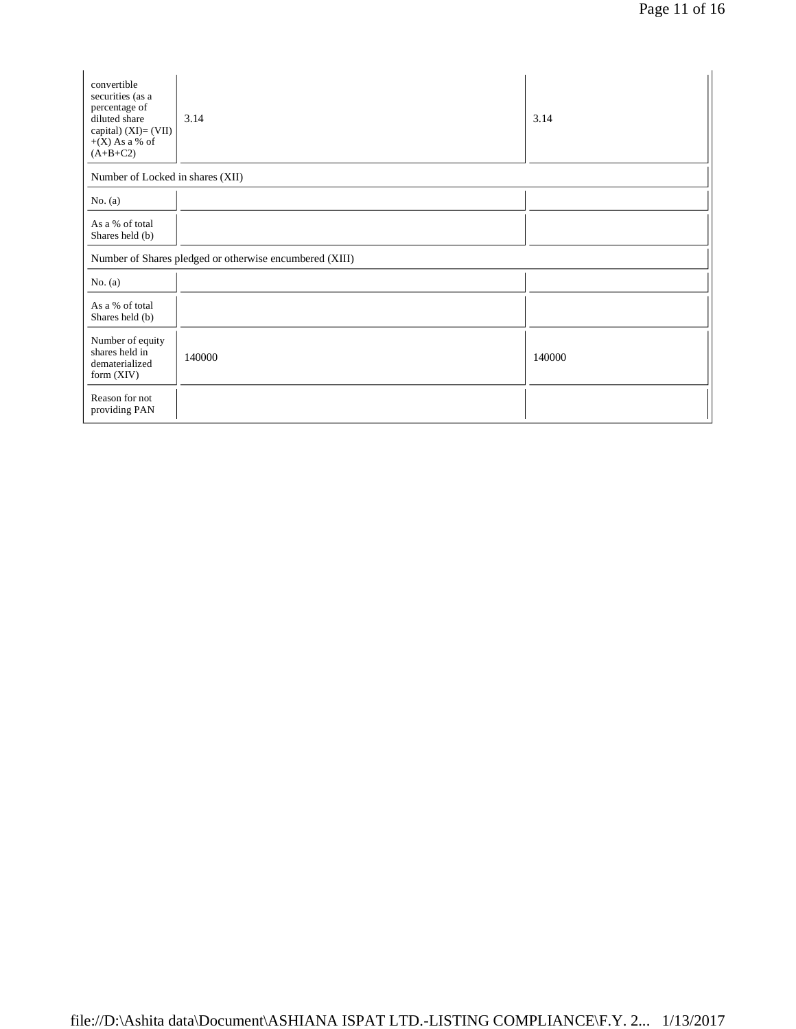| convertible<br>securities (as a<br>percentage of<br>diluted share<br>capital) $(XI) = (VII)$<br>$+(X)$ As a % of<br>$(A+B+C2)$ | 3.14                                                    | 3.14   |
|--------------------------------------------------------------------------------------------------------------------------------|---------------------------------------------------------|--------|
| Number of Locked in shares (XII)                                                                                               |                                                         |        |
| No. $(a)$                                                                                                                      |                                                         |        |
| As a % of total<br>Shares held (b)                                                                                             |                                                         |        |
|                                                                                                                                | Number of Shares pledged or otherwise encumbered (XIII) |        |
| No. $(a)$                                                                                                                      |                                                         |        |
| As a % of total<br>Shares held (b)                                                                                             |                                                         |        |
| Number of equity<br>shares held in<br>dematerialized<br>form $(XIV)$                                                           | 140000                                                  | 140000 |
| Reason for not<br>providing PAN                                                                                                |                                                         |        |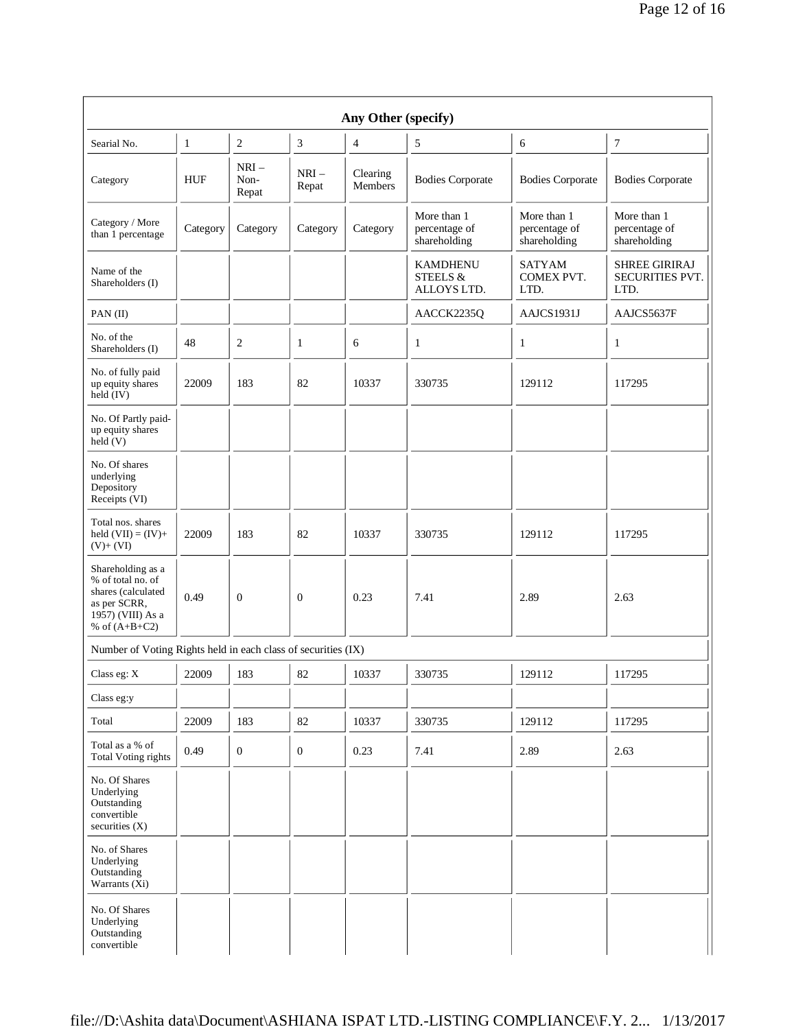| Any Other (specify)                                                                                                  |              |                          |                  |                     |                                              |                                              |                                                 |
|----------------------------------------------------------------------------------------------------------------------|--------------|--------------------------|------------------|---------------------|----------------------------------------------|----------------------------------------------|-------------------------------------------------|
| Searial No.                                                                                                          | $\mathbf{1}$ | $\overline{c}$           | 3                | $\overline{4}$      | 5                                            | 6                                            | 7                                               |
| Category                                                                                                             | HUF          | $NRI -$<br>Non-<br>Repat | $NRI-$<br>Repat  | Clearing<br>Members | <b>Bodies Corporate</b>                      | <b>Bodies Corporate</b>                      | <b>Bodies Corporate</b>                         |
| Category / More<br>than 1 percentage                                                                                 | Category     | Category                 | Category         | Category            | More than 1<br>percentage of<br>shareholding | More than 1<br>percentage of<br>shareholding | More than 1<br>percentage of<br>shareholding    |
| Name of the<br>Shareholders (I)                                                                                      |              |                          |                  |                     | <b>KAMDHENU</b><br>STEELS &<br>ALLOYS LTD.   | <b>SATYAM</b><br>COMEX PVT.<br>LTD.          | <b>SHREE GIRIRAJ</b><br>SECURITIES PVT.<br>LTD. |
| PAN(II)                                                                                                              |              |                          |                  |                     | AACCK2235Q                                   | AAJCS1931J                                   | AAJCS5637F                                      |
| No. of the<br>Shareholders (I)                                                                                       | 48           | 2                        | $\mathbf{1}$     | 6                   | 1                                            | $\mathbf{1}$                                 | $\mathbf{1}$                                    |
| No. of fully paid<br>up equity shares<br>held $(IV)$                                                                 | 22009        | 183                      | 82               | 10337               | 330735                                       | 129112                                       | 117295                                          |
| No. Of Partly paid-<br>up equity shares<br>held (V)                                                                  |              |                          |                  |                     |                                              |                                              |                                                 |
| No. Of shares<br>underlying<br>Depository<br>Receipts (VI)                                                           |              |                          |                  |                     |                                              |                                              |                                                 |
| Total nos. shares<br>held $(VII) = (IV) +$<br>$(V)+(VI)$                                                             | 22009        | 183                      | 82               | 10337               | 330735                                       | 129112                                       | 117295                                          |
| Shareholding as a<br>% of total no. of<br>shares (calculated<br>as per SCRR,<br>1957) (VIII) As a<br>% of $(A+B+C2)$ | 0.49         | $\boldsymbol{0}$         | $\boldsymbol{0}$ | 0.23                | 7.41                                         | 2.89                                         | 2.63                                            |
| Number of Voting Rights held in each class of securities (IX)                                                        |              |                          |                  |                     |                                              |                                              |                                                 |
| Class eg: $\mathbf X$                                                                                                | 22009        | 183                      | 82               | 10337               | 330735                                       | 129112                                       | 117295                                          |
| Class eg:y                                                                                                           |              |                          |                  |                     |                                              |                                              |                                                 |
| Total                                                                                                                | 22009        | 183                      | $82\,$           | 10337               | 330735                                       | 129112                                       | 117295                                          |
| Total as a % of<br><b>Total Voting rights</b>                                                                        | 0.49         | $\boldsymbol{0}$         | $\mathbf{0}$     | 0.23                | 7.41                                         | 2.89                                         | 2.63                                            |
| No. Of Shares<br>Underlying<br>Outstanding<br>convertible<br>securities $(X)$                                        |              |                          |                  |                     |                                              |                                              |                                                 |
| No. of Shares<br>Underlying<br>Outstanding<br>Warrants $(X_i)$                                                       |              |                          |                  |                     |                                              |                                              |                                                 |
| No. Of Shares<br>Underlying<br>Outstanding<br>convertible                                                            |              |                          |                  |                     |                                              |                                              |                                                 |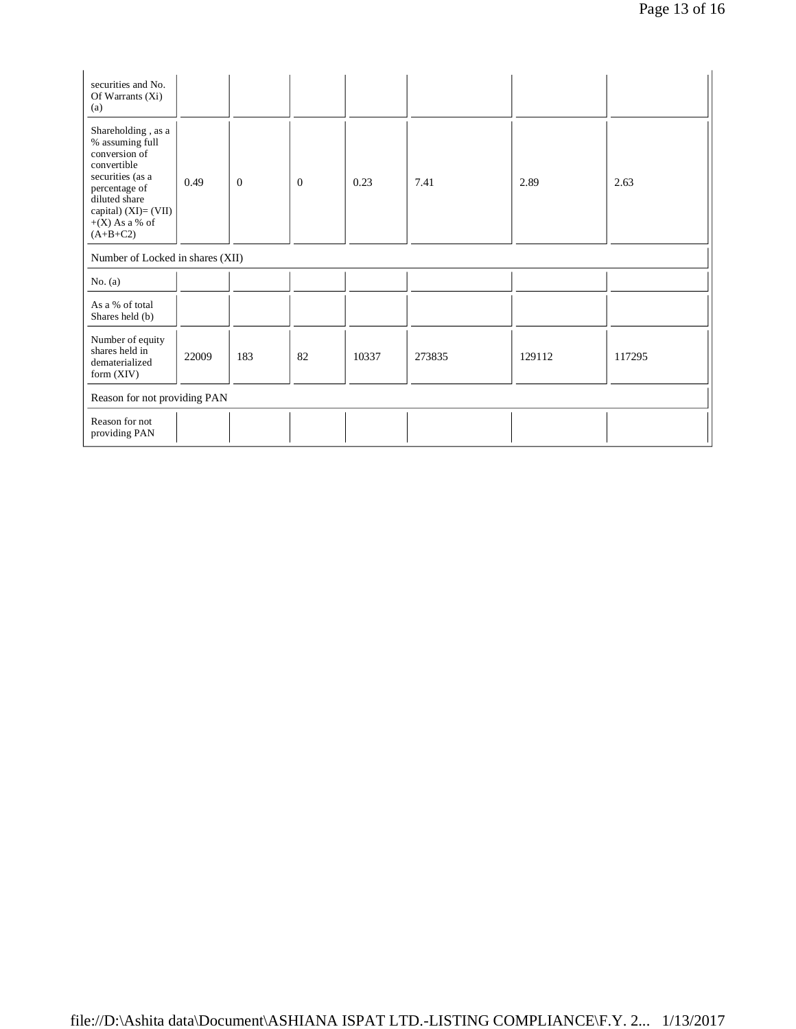| securities and No.<br>Of Warrants $(X_i)$<br>(a)                                                                                                                                        |       |              |                |       |        |        |        |
|-----------------------------------------------------------------------------------------------------------------------------------------------------------------------------------------|-------|--------------|----------------|-------|--------|--------|--------|
| Shareholding , as a<br>% assuming full<br>conversion of<br>convertible<br>securities (as a<br>percentage of<br>diluted share<br>capital) $(XI)=(VII)$<br>$+(X)$ As a % of<br>$(A+B+C2)$ | 0.49  | $\mathbf{0}$ | $\overline{0}$ | 0.23  | 7.41   | 2.89   | 2.63   |
| Number of Locked in shares (XII)                                                                                                                                                        |       |              |                |       |        |        |        |
| No. (a)                                                                                                                                                                                 |       |              |                |       |        |        |        |
| As a % of total<br>Shares held (b)                                                                                                                                                      |       |              |                |       |        |        |        |
| Number of equity<br>shares held in<br>dematerialized<br>form $(XIV)$                                                                                                                    | 22009 | 183          | 82             | 10337 | 273835 | 129112 | 117295 |
| Reason for not providing PAN                                                                                                                                                            |       |              |                |       |        |        |        |
| Reason for not<br>providing PAN                                                                                                                                                         |       |              |                |       |        |        |        |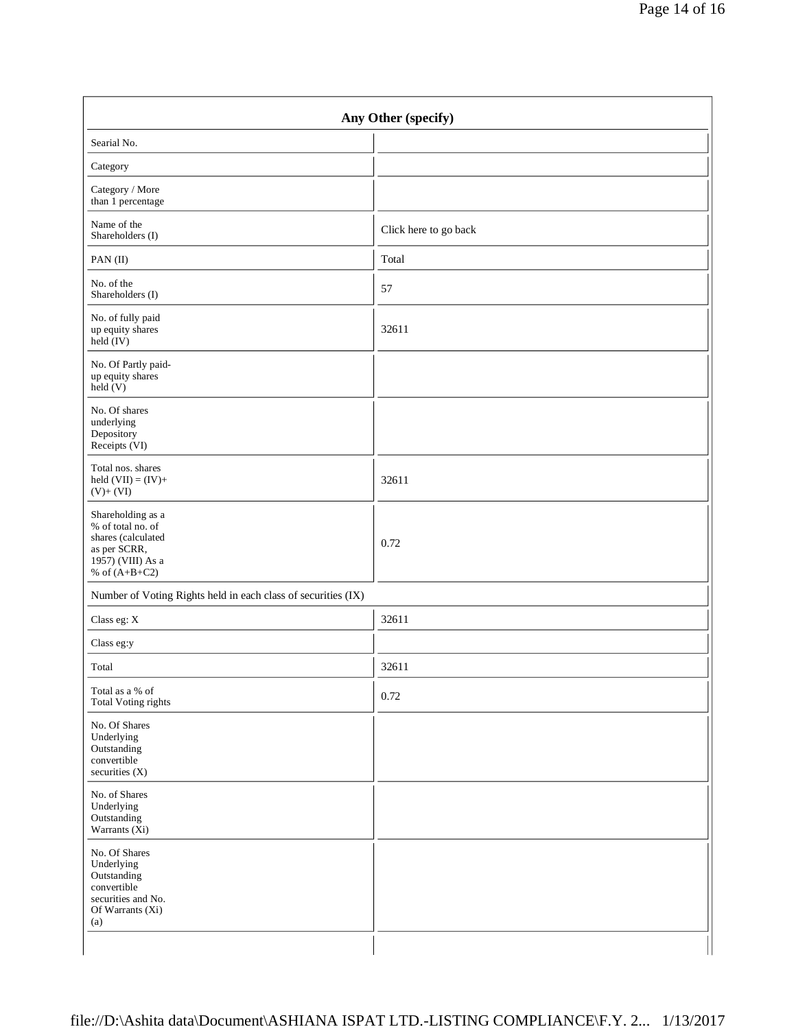|                                                                                                                      | Any Other (specify)   |  |
|----------------------------------------------------------------------------------------------------------------------|-----------------------|--|
| Searial No.                                                                                                          |                       |  |
| Category                                                                                                             |                       |  |
| Category / More<br>than 1 percentage                                                                                 |                       |  |
| Name of the<br>Shareholders (I)                                                                                      | Click here to go back |  |
| PAN (II)                                                                                                             | Total                 |  |
| No. of the<br>Shareholders (I)                                                                                       | 57                    |  |
| No. of fully paid<br>up equity shares<br>$\text{held}(\text{IV})$                                                    | 32611                 |  |
| No. Of Partly paid-<br>up equity shares<br>$\text{held} (V)$                                                         |                       |  |
| No. Of shares<br>underlying<br>Depository<br>Receipts (VI)                                                           |                       |  |
| Total nos. shares<br>held $(VII) = (IV) +$<br>$(V)$ + $(VI)$                                                         | 32611                 |  |
| Shareholding as a<br>% of total no. of<br>shares (calculated<br>as per SCRR,<br>1957) (VIII) As a<br>% of $(A+B+C2)$ | 0.72                  |  |
| Number of Voting Rights held in each class of securities (IX)                                                        |                       |  |
| Class eg: $\mathbf X$                                                                                                | 32611                 |  |
| Class eg:y                                                                                                           |                       |  |
| Total                                                                                                                | 32611                 |  |
| Total as a % of<br>Total Voting rights                                                                               | 0.72                  |  |
| No. Of Shares<br>Underlying<br>Outstanding<br>convertible<br>securities (X)                                          |                       |  |
| No. of Shares<br>Underlying<br>Outstanding<br>Warrants $(X_i)$                                                       |                       |  |
| No. Of Shares<br>Underlying<br>Outstanding<br>convertible<br>securities and No.<br>Of Warrants (Xi)<br>(a)           |                       |  |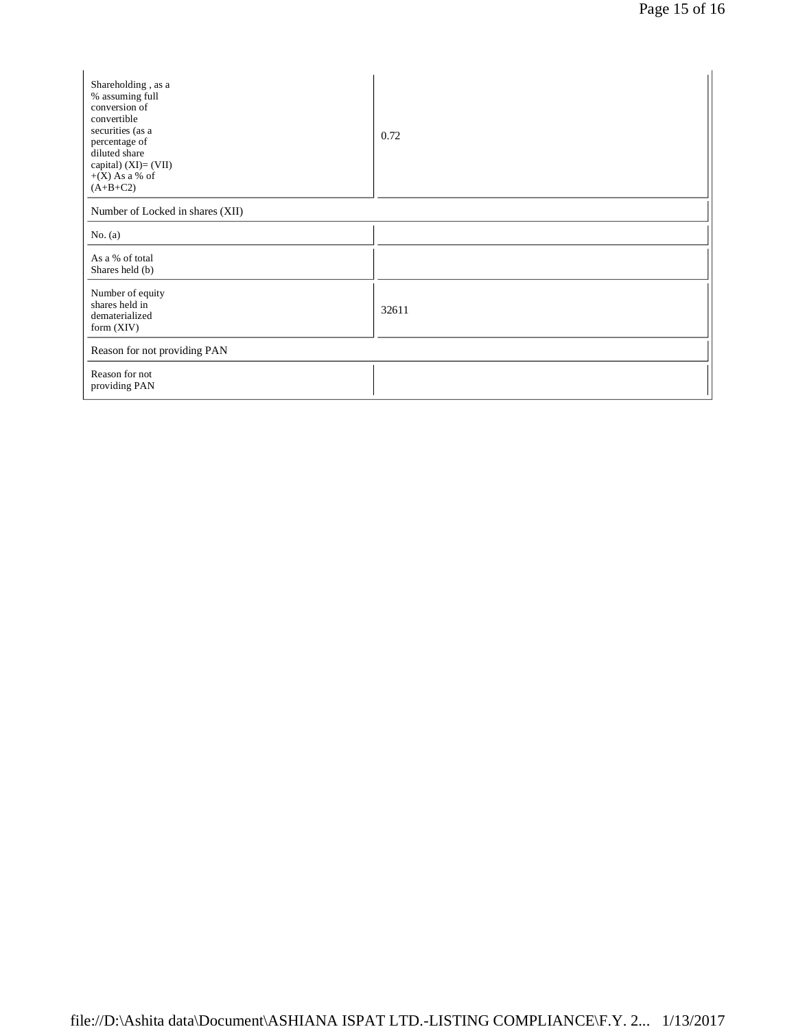| Shareholding, as a<br>% assuming full<br>conversion of<br>convertible<br>securities (as a<br>percentage of<br>diluted share<br>capital) (XI)= (VII)<br>$+(X)$ As a % of<br>$(A+B+C2)$ | 0.72  |  |  |  |
|---------------------------------------------------------------------------------------------------------------------------------------------------------------------------------------|-------|--|--|--|
| Number of Locked in shares (XII)                                                                                                                                                      |       |  |  |  |
| No. (a)                                                                                                                                                                               |       |  |  |  |
| As a % of total<br>Shares held (b)                                                                                                                                                    |       |  |  |  |
| Number of equity<br>shares held in<br>dematerialized<br>form $(XIV)$                                                                                                                  | 32611 |  |  |  |
| Reason for not providing PAN                                                                                                                                                          |       |  |  |  |
| Reason for not<br>providing PAN                                                                                                                                                       |       |  |  |  |